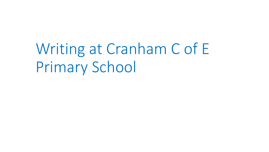Writing at Cranham C of E Primary School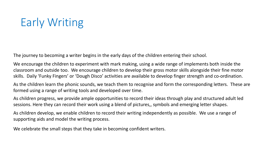# Early Writing

The journey to becoming a writer begins in the early days of the children entering their school.

We encourage the children to experiment with mark making, using a wide range of implements both inside the classroom and outside too. We encourage children to develop their gross motor skills alongside their fine motor skills. Daily 'Funky Fingers' or 'Dough Disco' activities are available to develop finger strength and co-ordination.

As the children learn the phonic sounds, we teach them to recognise and form the corresponding letters. These are formed using a range of writing tools and developed over time.

As children progress, we provide ample opportunities to record their ideas through play and structured adult led sessions. Here they can record their work using a blend of pictures,, symbols and emerging letter shapes.

As children develop, we enable children to record their writing independently as possible. We use a range of supporting aids and model the writing process.

We celebrate the small steps that they take in becoming confident writers.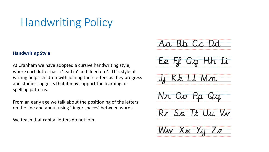## Handwriting Policy

#### **Handwriting Style**

At Cranham we have adopted a cursive handwriting style, where each letter has a 'lead in' and 'feed out'. This style of writing helps children with joining their letters as they progress and studies suggests that it may support the learning of spelling patterns.

From an early age we talk about the positioning of the letters on the line and about using 'finger spaces' between words.

We teach that capital letters do not join.

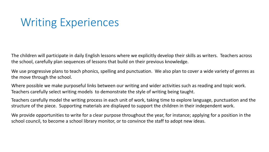### Writing Experiences

The children will participate in daily English lessons where we explicitly develop their skills as writers. Teachers across the school, carefully plan sequences of lessons that build on their previous knowledge.

We use progressive plans to teach phonics, spelling and punctuation. We also plan to cover a wide variety of genres as the move through the school.

Where possible we make purposeful links between our writing and wider activities such as reading and topic work. Teachers carefully select writing models to demonstrate the style of writing being taught.

Teachers carefully model the writing process in each unit of work, taking time to explore language, punctuation and the structure of the piece. Supporting materials are displayed to support the children in their independent work.

We provide opportunities to write for a clear purpose throughout the year, for instance; applying for a position in the school council, to become a school library monitor, or to convince the staff to adopt new ideas.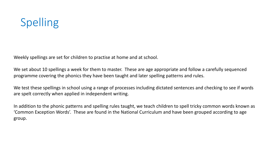# Spelling

Weekly spellings are set for children to practise at home and at school.

We set about 10 spellings a week for them to master. These are age appropriate and follow a carefully sequenced programme covering the phonics they have been taught and later spelling patterns and rules.

We test these spellings in school using a range of processes including dictated sentences and checking to see if words are spelt correctly when applied in independent writing.

In addition to the phonic patterns and spelling rules taught, we teach children to spell tricky common words known as 'Common Exception Words'. These are found in the National Curriculum and have been grouped according to age group.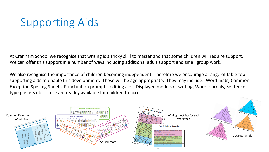## Supporting Aids

At Cranham School we recognise that writing is a tricky skill to master and that some children will require support. We can offer this support in a number of ways including additional adult support and small group work.

We also recognise the importance of children becoming independent. Therefore we encourage a range of table top supporting aids to enable this development. These will be age appropriate. They may include: Word mats, Common Exception Spelling Sheets, Punctuation prompts, editing aids, Displayed models of writing, Word journals, Sentence type posters etc. These are readily available for children to access.